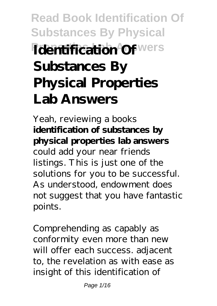# **Read Book Identification Of Substances By Physical** *<u>Identification</u>* Of wers **Substances By Physical Properties Lab Answers**

Yeah, reviewing a books **identification of substances by physical properties lab answers** could add your near friends listings. This is just one of the solutions for you to be successful. As understood, endowment does not suggest that you have fantastic points.

Comprehending as capably as conformity even more than new will offer each success. adjacent to, the revelation as with ease as insight of this identification of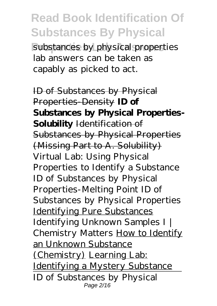substances by physical properties lab answers can be taken as capably as picked to act.

ID of Substances by Physical Properties-Density **ID of Substances by Physical Properties-Solubility** Identification of Substances by Physical Properties (Missing Part to A. Solubility) *Virtual Lab: Using Physical Properties to Identify a Substance* ID of Substances by Physical Properties-Melting Point *ID of Substances by Physical Properties* Identifying Pure Substances *Identifying Unknown Samples I | Chemistry Matters* How to Identify an Unknown Substance (Chemistry) Learning Lab: Identifying a Mystery Substance ID of Substances by Physical Page 2/16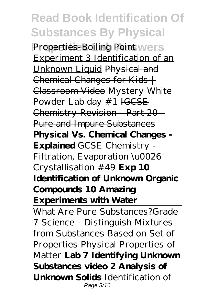**Properties-Boiling Point wers** Experiment 3 Identification of an Unknown Liquid Physical and Chemical Changes for Kids  $+$ Classroom Video Mystery White Powder Lab day #1 IGCSE Chemistry Revision - Part 20 -Pure and Impure Substances **Physical Vs. Chemical Changes - Explained** GCSE Chemistry - Filtration, Evaporation \u0026 Crystallisation #49 **Exp 10 Identification of Unknown Organic Compounds 10 Amazing Experiments with Water**

What Are Pure Substances?<del>Grade</del> 7 Science - Distinguish Mixtures from Substances Based on Set of Properties Physical Properties of Matter **Lab 7 Identifying Unknown Substances video 2 Analysis of Unknown Solids** Identification of Page 3/16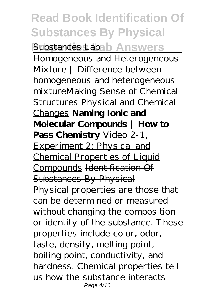#### **Read Book Identification Of Substances By Physical Substances Labab Answers** Homogeneous and Heterogeneous Mixture | Difference between homogeneous and heterogeneous mixture*Making Sense of Chemical Structures* Physical and Chemical Changes **Naming Ionic and Molecular Compounds | How to** Pass Chemistry Video 2-1, Experiment 2: Physical and Chemical Properties of Liquid Compounds Identification Of Substances By Physical Physical properties are those that can be determined or measured without changing the composition or identity of the substance. These properties include color, odor, taste, density, melting point, boiling point, conductivity, and hardness. Chemical properties tell us how the substance interacts Page 4/16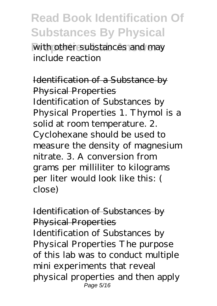with other substances and may include reaction

Identification of a Substance by Physical Properties Identification of Substances by Physical Properties 1. Thymol is a solid at room temperature. 2. Cyclohexane should be used to measure the density of magnesium nitrate. 3. A conversion from grams per milliliter to kilograms per liter would look like this: ( close)

#### Identification of Substances by Physical Properties Identification of Substances by Physical Properties The purpose of this lab was to conduct multiple mini experiments that reveal physical properties and then apply Page 5/16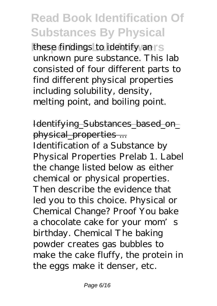these findings to identify an is unknown pure substance. This lab consisted of four different parts to find different physical properties including solubility, density, melting point, and boiling point.

#### Identifying\_Substances\_based\_on\_ physical\_properties ...

Identification of a Substance by Physical Properties Prelab 1. Label the change listed below as either chemical or physical properties. Then describe the evidence that led you to this choice. Physical or Chemical Change? Proof You bake a chocolate cake for your mom's birthday. Chemical The baking powder creates gas bubbles to make the cake fluffy, the protein in the eggs make it denser, etc.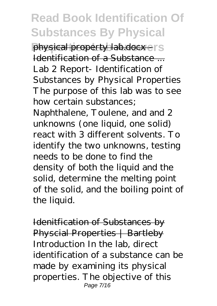**Physical property lab.docx - IS** Identification of a Substance ... Lab 2 Report- Identification of Substances by Physical Properties The purpose of this lab was to see how certain substances;

Naphthalene, Toulene, and and 2 unknowns (one liquid, one solid) react with 3 different solvents. To identify the two unknowns, testing needs to be done to find the density of both the liquid and the solid, determine the melting point of the solid, and the boiling point of the liquid.

Idenitfication of Substances by Physcial Properties | Bartleby Introduction In the lab, direct identification of a substance can be made by examining its physical properties. The objective of this Page 7/16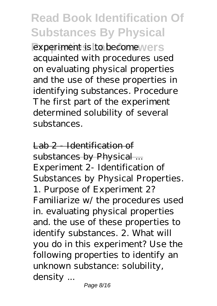experiment is to become **vers** acquainted with procedures used on evaluating physical properties and the use of these properties in identifying substances. Procedure The first part of the experiment determined solubility of several substances.

Lab 2 - Identification of substances by Physical ... Experiment 2- Identification of Substances by Physical Properties. 1. Purpose of Experiment 2? Familiarize w/ the procedures used in. evaluating physical properties and. the use of these properties to identify substances. 2. What will you do in this experiment? Use the following properties to identify an unknown substance: solubility, density ...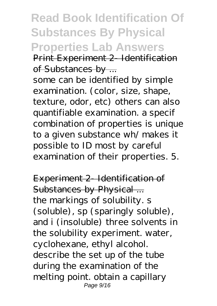**Read Book Identification Of Substances By Physical Properties Lab Answers** Print Experiment 2- Identification of Substances by ...

some can be identified by simple examination. (color, size, shape, texture, odor, etc) others can also quantifiable examination. a specif combination of properties is unique to a given substance wh/ makes it possible to ID most by careful examination of their properties. 5.

Experiment 2 Identification of Substances by Physical ... the markings of solubility. s (soluble), sp (sparingly soluble), and i (insoluble) three solvents in the solubility experiment. water, cyclohexane, ethyl alcohol. describe the set up of the tube during the examination of the melting point. obtain a capillary Page 9/16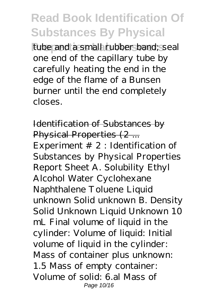tube and a small rubber band; seal one end of the capillary tube by carefully heating the end in the edge of the flame of a Bunsen burner until the end completely closes.

Identification of Substances by Physical Properties (2 ... Experiment  $# 2$ : Identification of Substances by Physical Properties Report Sheet A. Solubility Ethyl Alcohol Water Cyclohexane Naphthalene Toluene Liquid unknown Solid unknown B. Density Solid Unknown Liquid Unknown 10 mL Final volume of liquid in the cylinder: Volume of liquid: Initial volume of liquid in the cylinder: Mass of container plus unknown: 1.5 Mass of empty container: Volume of solid: 6.al Mass of Page 10/16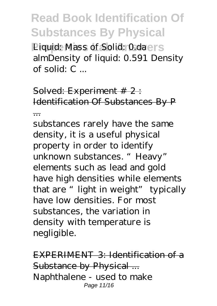**Properties Liquid: Mass of Solid: 0.daers** almDensity of liquid: 0.591 Density of solid: C ...

Solved: Experiment # 2 : Identification Of Substances By P ...

substances rarely have the same density, it is a useful physical property in order to identify unknown substances. "Heavy" elements such as lead and gold have high densities while elements that are "light in weight" typically have low densities. For most substances, the variation in density with temperature is negligible.

EXPERIMENT 3: Identification of a Substance by Physical ... Naphthalene - used to make Page 11/16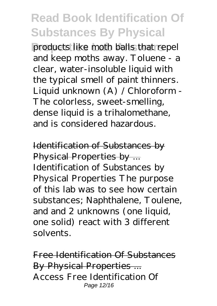products like moth balls that repel and keep moths away. Toluene - a clear, water-insoluble liquid with the typical smell of paint thinners. Liquid unknown (A) / Chloroform - The colorless, sweet-smelling, dense liquid is a trihalomethane, and is considered hazardous.

Identification of Substances by Physical Properties by ... Identification of Substances by Physical Properties The purpose of this lab was to see how certain substances; Naphthalene, Toulene, and and 2 unknowns (one liquid, one solid) react with 3 different solvents.

Free Identification Of Substances By Physical Properties ... Access Free Identification Of Page 12/16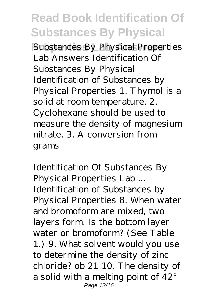**Substances By Physical Properties** Lab Answers Identification Of Substances By Physical Identification of Substances by Physical Properties 1. Thymol is a solid at room temperature. 2. Cyclohexane should be used to measure the density of magnesium nitrate. 3. A conversion from grams

Identification Of Substances By Physical Properties Lab ... Identification of Substances by Physical Properties 8. When water and bromoform are mixed, two layers form. Is the bottom layer water or bromoform? (See Table 1.) 9. What solvent would you use to determine the density of zinc chloride? ob 21 10. The density of a solid with a melting point of 42° Page 13/16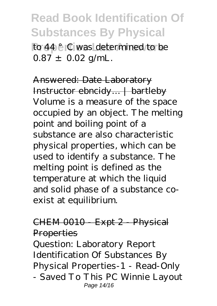**Read Book Identification Of Substances By Physical Properties Lab Answers** to 44 °C was determined to be

 $0.87 \pm 0.02$  g/mL.

Answered: Date Laboratory Instructor ebncidy… | bartleby Volume is a measure of the space occupied by an object. The melting point and boiling point of a substance are also characteristic physical properties, which can be used to identify a substance. The melting point is defined as the temperature at which the liquid and solid phase of a substance coexist at equilibrium.

#### CHEM 0010 - Expt 2 - Physical **Properties**

Question: Laboratory Report Identification Of Substances By Physical Properties-1 - Read-Only - Saved To This PC Winnie Layout Page 14/16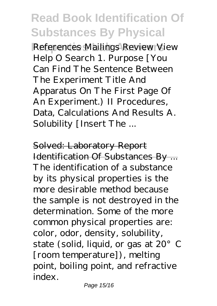References Mailings Review View Help O Search 1. Purpose [You Can Find The Sentence Between The Experiment Title And Apparatus On The First Page Of An Experiment.) II Procedures, Data, Calculations And Results A. Solubility [Insert The ...

Solved: Laboratory Report Identification Of Substances By ... The identification of a substance by its physical properties is the more desirable method because the sample is not destroyed in the determination. Some of the more common physical properties are: color, odor, density, solubility, state (solid, liquid, or gas at 20°C [room temperature]), melting point, boiling point, and refractive index.